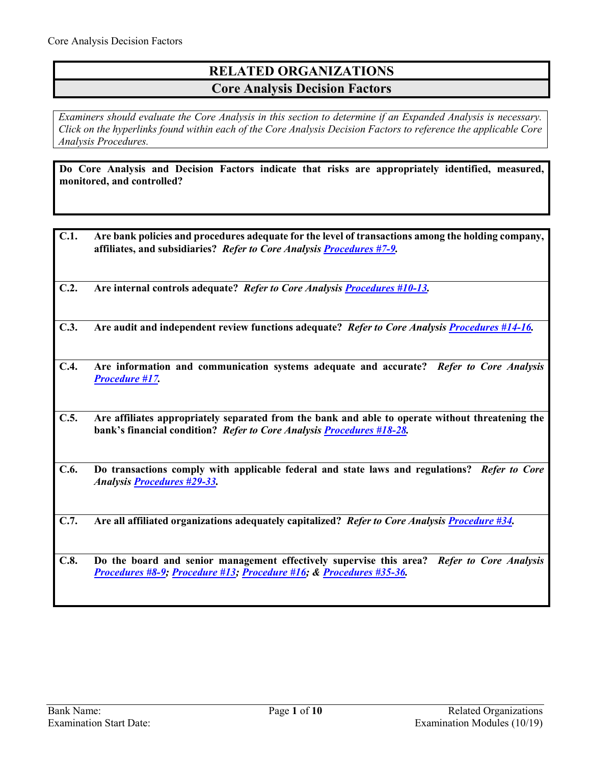# **RELATED ORGANIZATIONS Core Analysis Decision Factors**

*Examiners should evaluate the Core Analysis in this section to determine if an Expanded Analysis is necessary. Click on the hyperlinks found within each of the Core Analysis Decision Factors to reference the applicable Core Analysis Procedures.*

**Do Core Analysis and Decision Factors indicate that risks are appropriately identified, measured, monitored, and controlled?**

| C.1. | Are bank policies and procedures adequate for the level of transactions among the holding company,<br>affiliates, and subsidiaries? Refer to Core Analysis Procedures #7-9. |
|------|-----------------------------------------------------------------------------------------------------------------------------------------------------------------------------|
| C.2. | Are internal controls adequate? Refer to Core Analysis Procedures #10-13.                                                                                                   |
| C.3. | Are audit and independent review functions adequate? Refer to Core Analysis Procedures #14-16.                                                                              |
| C.4. | Are information and communication systems adequate and accurate? Refer to Core Analysis<br><b>Procedure #17.</b>                                                            |
| C.5. | Are affiliates appropriately separated from the bank and able to operate without threatening the<br>bank's financial condition? Refer to Core Analysis Procedures #18-28.   |
| C.6. | Do transactions comply with applicable federal and state laws and regulations? Refer to Core<br><b>Analysis Procedures #29-33.</b>                                          |
| C.7. | Are all affiliated organizations adequately capitalized? Refer to Core Analysis Procedure #34.                                                                              |
| C.8. | Do the board and senior management effectively supervise this area?<br><b>Refer to Core Analysis</b><br>Procedures #8-9; Procedure #13; Procedure #16; & Procedures #35-36. |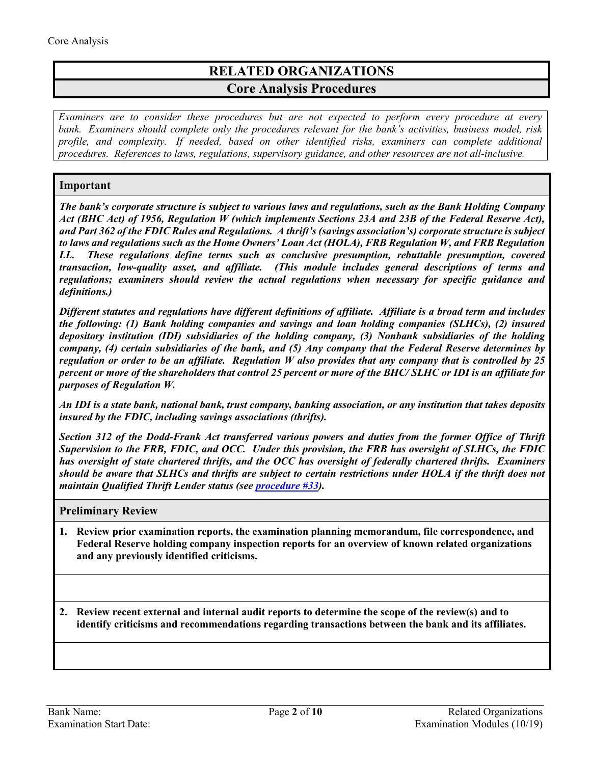# **RELATED ORGANIZATIONS Core Analysis Procedures**

*Examiners are to consider these procedures but are not expected to perform every procedure at every bank. Examiners should complete only the procedures relevant for the bank's activities, business model, risk profile, and complexity. If needed, based on other identified risks, examiners can complete additional procedures. References to laws, regulations, supervisory guidance, and other resources are not all-inclusive.*

## **Important**

*The bank's corporate structure is subject to various laws and regulations, such as the Bank Holding Company Act (BHC Act) of 1956, Regulation W (which implements Sections 23A and 23B of the Federal Reserve Act), and Part 362 of the FDIC Rules and Regulations. A thrift's (savings association's) corporate structure is subject to laws and regulations such as the Home Owners' Loan Act (HOLA), FRB Regulation W, and FRB Regulation LL. These regulations define terms such as conclusive presumption, rebuttable presumption, covered transaction, low-quality asset, and affiliate. (This module includes general descriptions of terms and regulations; examiners should review the actual regulations when necessary for specific guidance and definitions.)* 

*Different statutes and regulations have different definitions of affiliate. Affiliate is a broad term and includes the following: (1) Bank holding companies and savings and loan holding companies (SLHCs), (2) insured depository institution (IDI) subsidiaries of the holding company, (3) Nonbank subsidiaries of the holding company, (4) certain subsidiaries of the bank, and (5) Any company that the Federal Reserve determines by regulation or order to be an affiliate. Regulation W also provides that any company that is controlled by 25 percent or more of the shareholders that control 25 percent or more of the BHC/ SLHC or IDI is an affiliate for purposes of Regulation W.* 

*An IDI is a state bank, national bank, trust company, banking association, or any institution that takes deposits insured by the FDIC, including savings associations (thrifts).*

*Section 312 of the Dodd-Frank Act transferred various powers and duties from the former Office of Thrift Supervision to the FRB, FDIC, and OCC. Under this provision, the FRB has oversight of SLHCs, the FDIC has oversight of state chartered thrifts, and the OCC has oversight of federally chartered thrifts. Examiners should be aware that SLHCs and thrifts are subject to certain restrictions under HOLA if the thrift does not maintain Qualified Thrift Lender status (see [procedure #33\)](#page-8-2).* 

### **Preliminary Review**

**1. Review prior examination reports, the examination planning memorandum, file correspondence, and Federal Reserve holding company inspection reports for an overview of known related organizations and any previously identified criticisms.**

**2. Review recent external and internal audit reports to determine the scope of the review(s) and to identify criticisms and recommendations regarding transactions between the bank and its affiliates.**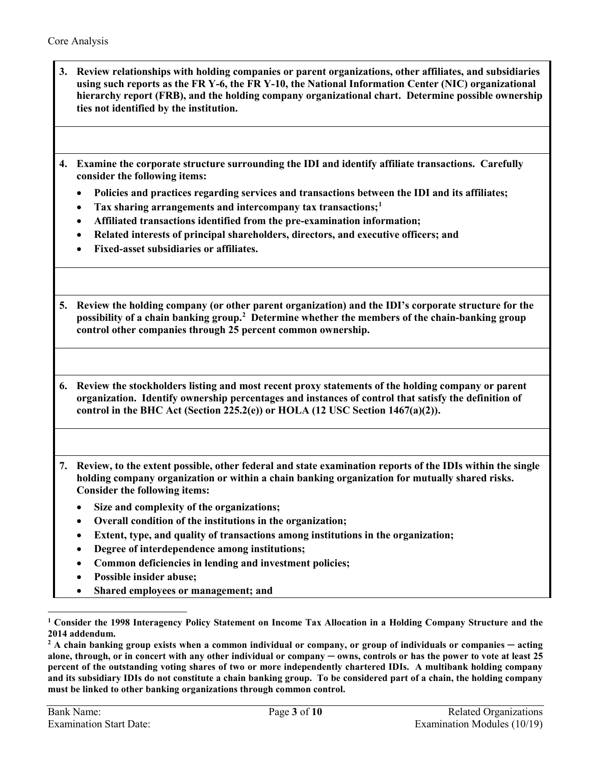- **3. Review relationships with holding companies or parent organizations, other affiliates, and subsidiaries using such reports as the FR Y-6, the FR Y-10, the National Information Center (NIC) organizational hierarchy report (FRB), and the holding company organizational chart. Determine possible ownership ties not identified by the institution.**
- **4. Examine the corporate structure surrounding the IDI and identify affiliate transactions. Carefully consider the following items:** 
	- **Policies and practices regarding services and transactions between the IDI and its affiliates;**
	- **Tax sharing arrangements and intercompany tax transactions[;1](#page-2-1)**
	- **Affiliated transactions identified from the pre-examination information;**
	- **Related interests of principal shareholders, directors, and executive officers; and**
	- **Fixed-asset subsidiaries or affiliates.**
- **5. Review the holding company (or other parent organization) and the IDI's corporate structure for the possibility of a chain banking group.[2](#page-2-2) Determine whether the members of the chain-banking group control other companies through 25 percent common ownership.**
- **6. Review the stockholders listing and most recent proxy statements of the holding company or parent organization. Identify ownership percentages and instances of control that satisfy the definition of control in the BHC Act (Section 225.2(e)) or HOLA (12 USC Section 1467(a)(2)).**
- <span id="page-2-0"></span>**7. Review, to the extent possible, other federal and state examination reports of the IDIs within the single holding company organization or within a chain banking organization for mutually shared risks. Consider the following items:**
	- **Size and complexity of the organizations;**
	- **Overall condition of the institutions in the organization;**
	- **Extent, type, and quality of transactions among institutions in the organization;**
	- **Degree of interdependence among institutions;**
	- **Common deficiencies in lending and investment policies;**
	- **Possible insider abuse;**
	- **Shared employees or management; and**

 $\overline{a}$ 

<span id="page-2-1"></span>**<sup>1</sup> Consider the 1998 Interagency Policy Statement on Income Tax Allocation in a Holding Company Structure and the 2014 addendum.**

<span id="page-2-2"></span>**<sup>2</sup> A chain banking group exists when a common individual or company, or group of individuals or companies ─ acting alone, through, or in concert with any other individual or company ─ owns, controls or has the power to vote at least 25 percent of the outstanding voting shares of two or more independently chartered IDIs. A multibank holding company and its subsidiary IDIs do not constitute a chain banking group. To be considered part of a chain, the holding company must be linked to other banking organizations through common control.**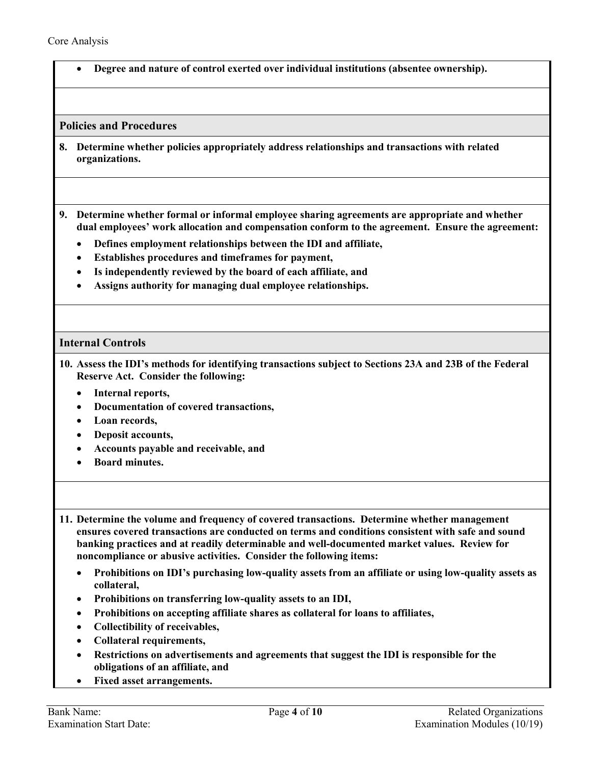• **Degree and nature of control exerted over individual institutions (absentee ownership).**

**Policies and Procedures**

- <span id="page-3-1"></span>**8. Determine whether policies appropriately address relationships and transactions with related organizations.**
- **9. Determine whether formal or informal employee sharing agreements are appropriate and whether dual employees' work allocation and compensation conform to the agreement. Ensure the agreement:**
	- **Defines employment relationships between the IDI and affiliate,**
	- **Establishes procedures and timeframes for payment,**
	- **Is independently reviewed by the board of each affiliate, and**
	- **Assigns authority for managing dual employee relationships.**

#### <span id="page-3-0"></span>**Internal Controls**

- **10. Assess the IDI's methods for identifying transactions subject to Sections 23A and 23B of the Federal Reserve Act. Consider the following:**
	- **Internal reports,**
	- **Documentation of covered transactions,**
	- **Loan records,**
	- **Deposit accounts,**
	- **Accounts payable and receivable, and**
	- **Board minutes.**
- **11. Determine the volume and frequency of covered transactions. Determine whether management ensures covered transactions are conducted on terms and conditions consistent with safe and sound banking practices and at readily determinable and well-documented market values. Review for noncompliance or abusive activities. Consider the following items:** 
	- **Prohibitions on IDI's purchasing low-quality assets from an affiliate or using low-quality assets as collateral,**
	- **Prohibitions on transferring low-quality assets to an IDI,**
	- **Prohibitions on accepting affiliate shares as collateral for loans to affiliates,**
	- **Collectibility of receivables,**
	- **Collateral requirements,**
	- **Restrictions on advertisements and agreements that suggest the IDI is responsible for the obligations of an affiliate, and**
	- **Fixed asset arrangements.**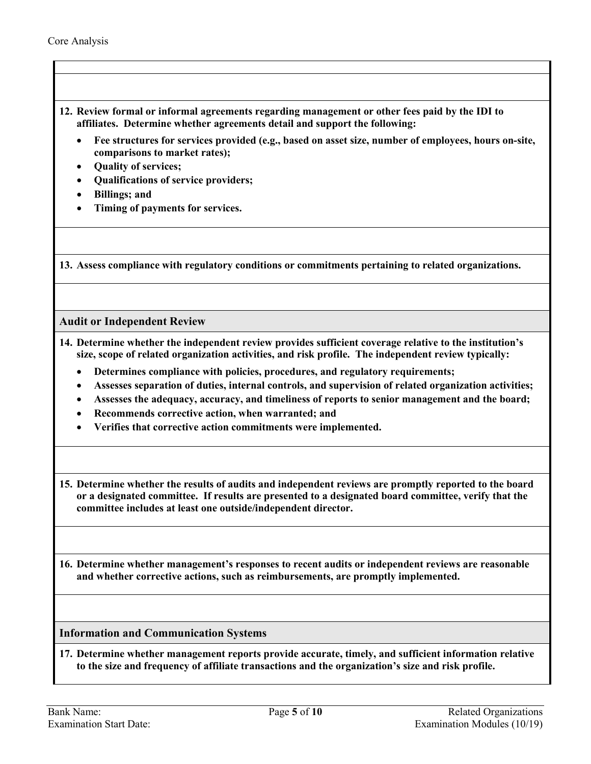- **12. Review formal or informal agreements regarding management or other fees paid by the IDI to affiliates. Determine whether agreements detail and support the following:**
	- **Fee structures for services provided (e.g., based on asset size, number of employees, hours on-site, comparisons to market rates);**
	- **Quality of services;**
	- **Qualifications of service providers;**
	- **Billings; and**
	- **Timing of payments for services.**

<span id="page-4-2"></span>**13. Assess compliance with regulatory conditions or commitments pertaining to related organizations.** 

## <span id="page-4-0"></span>**Audit or Independent Review**

- **14. Determine whether the independent review provides sufficient coverage relative to the institution's size, scope of related organization activities, and risk profile. The independent review typically:** 
	- **Determines compliance with policies, procedures, and regulatory requirements;**
	- **Assesses separation of duties, internal controls, and supervision of related organization activities;**
	- **Assesses the adequacy, accuracy, and timeliness of reports to senior management and the board;**
	- **Recommends corrective action, when warranted; and**
	- **Verifies that corrective action commitments were implemented.**

**15. Determine whether the results of audits and independent reviews are promptly reported to the board or a designated committee. If results are presented to a designated board committee, verify that the committee includes at least one outside/independent director.** 

<span id="page-4-3"></span>**16. Determine whether management's responses to recent audits or independent reviews are reasonable and whether corrective actions, such as reimbursements, are promptly implemented.** 

<span id="page-4-1"></span>**Information and Communication Systems** 

**17. Determine whether management reports provide accurate, timely, and sufficient information relative to the size and frequency of affiliate transactions and the organization's size and risk profile.**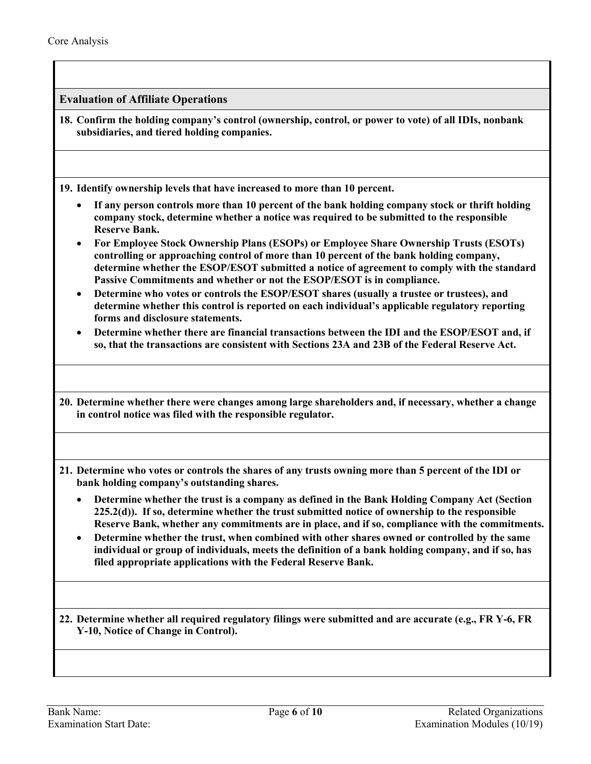<span id="page-5-0"></span>**Evaluation of Affiliate Operations** 

**18. Confirm the holding company's control (ownership, control, or power to vote) of all IDIs, nonbank subsidiaries, and tiered holding companies.** 

**19. Identify ownership levels that have increased to more than 10 percent.** 

- **If any person controls more than 10 percent of the bank holding company stock or thrift holding company stock, determine whether a notice was required to be submitted to the responsible Reserve Bank.**
- **For Employee Stock Ownership Plans (ESOPs) or Employee Share Ownership Trusts (ESOTs) controlling or approaching control of more than 10 percent of the bank holding company, determine whether the ESOP/ESOT submitted a notice of agreement to comply with the standard Passive Commitments and whether or not the ESOP/ESOT is in compliance.**
- **Determine who votes or controls the ESOP/ESOT shares (usually a trustee or trustees), and determine whether this control is reported on each individual's applicable regulatory reporting forms and disclosure statements.**
- **Determine whether there are financial transactions between the IDI and the ESOP/ESOT and, if so, that the transactions are consistent with Sections 23A and 23B of the Federal Reserve Act.**

**20. Determine whether there were changes among large shareholders and, if necessary, whether a change in control notice was filed with the responsible regulator.** 

- **21. Determine who votes or controls the shares of any trusts owning more than 5 percent of the IDI or bank holding company's outstanding shares.** 
	- **Determine whether the trust is a company as defined in the Bank Holding Company Act (Section 225.2(d)). If so, determine whether the trust submitted notice of ownership to the responsible Reserve Bank, whether any commitments are in place, and if so, compliance with the commitments.**
	- **Determine whether the trust, when combined with other shares owned or controlled by the same individual or group of individuals, meets the definition of a bank holding company, and if so, has filed appropriate applications with the Federal Reserve Bank.**

**22. Determine whether all required regulatory filings were submitted and are accurate (e.g., FR Y-6, FR Y-10, Notice of Change in Control).**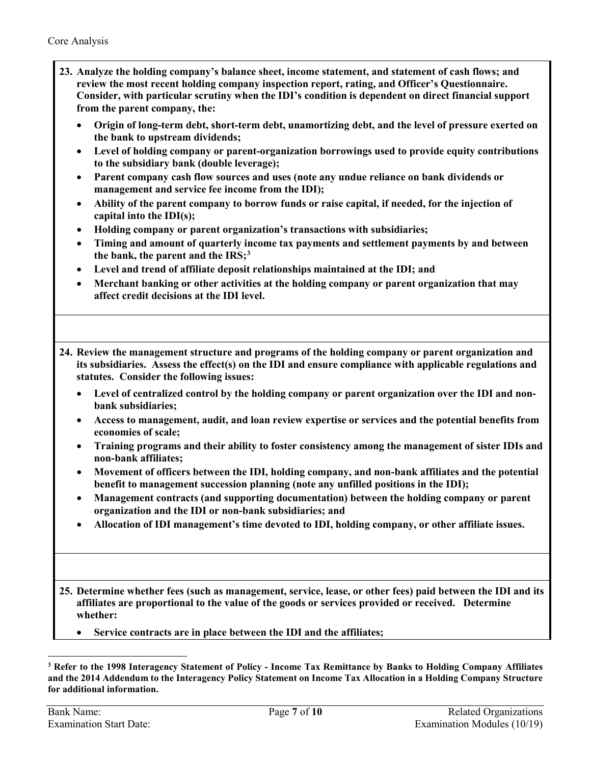- **23. Analyze the holding company's balance sheet, income statement, and statement of cash flows; and review the most recent holding company inspection report, rating, and Officer's Questionnaire. Consider, with particular scrutiny when the IDI's condition is dependent on direct financial support from the parent company, the:**
	- **Origin of long-term debt, short-term debt, unamortizing debt, and the level of pressure exerted on the bank to upstream dividends;**
	- **Level of holding company or parent-organization borrowings used to provide equity contributions to the subsidiary bank (double leverage);**
	- **Parent company cash flow sources and uses (note any undue reliance on bank dividends or management and service fee income from the IDI);**
	- **Ability of the parent company to borrow funds or raise capital, if needed, for the injection of capital into the IDI(s);**
	- **Holding company or parent organization's transactions with subsidiaries;**
	- **Timing and amount of quarterly income tax payments and settlement payments by and between the bank, the parent and the IRS;[3](#page-6-0)**
	- **Level and trend of affiliate deposit relationships maintained at the IDI; and**
	- **Merchant banking or other activities at the holding company or parent organization that may affect credit decisions at the IDI level.**

**24. Review the management structure and programs of the holding company or parent organization and its subsidiaries. Assess the effect(s) on the IDI and ensure compliance with applicable regulations and statutes. Consider the following issues:**

- **Level of centralized control by the holding company or parent organization over the IDI and nonbank subsidiaries;**
- **Access to management, audit, and loan review expertise or services and the potential benefits from economies of scale;**
- **Training programs and their ability to foster consistency among the management of sister IDIs and non-bank affiliates;**
- **Movement of officers between the IDI, holding company, and non-bank affiliates and the potential benefit to management succession planning (note any unfilled positions in the IDI);**
- **Management contracts (and supporting documentation) between the holding company or parent organization and the IDI or non-bank subsidiaries; and**
- **Allocation of IDI management's time devoted to IDI, holding company, or other affiliate issues.**
- **25. Determine whether fees (such as management, service, lease, or other fees) paid between the IDI and its affiliates are proportional to the value of the goods or services provided or received. Determine whether:** 
	- **Service contracts are in place between the IDI and the affiliates;**

 $\overline{a}$ 

<span id="page-6-0"></span>**<sup>3</sup> Refer to the 1998 Interagency Statement of Policy - Income Tax Remittance by Banks to Holding Company Affiliates and the 2014 Addendum to the Interagency Policy Statement on Income Tax Allocation in a Holding Company Structure for additional information.**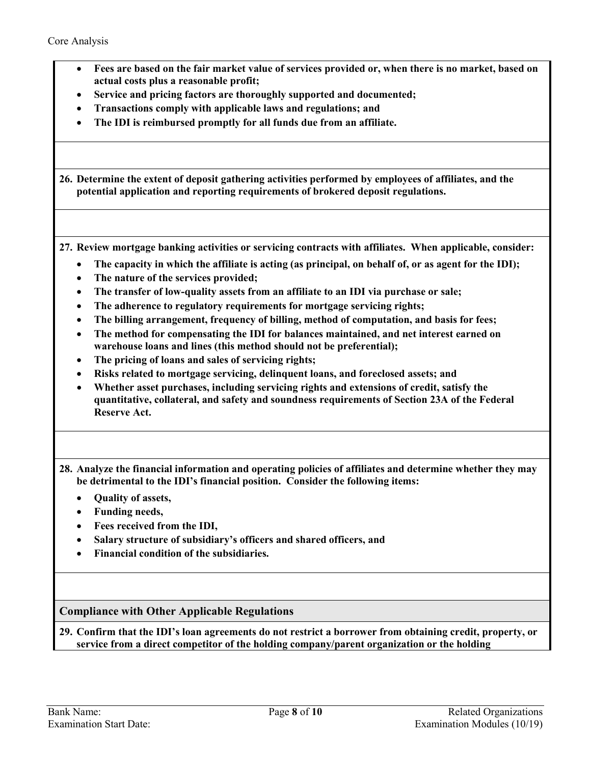| • Fees are based on the fair market value of services provided or, when there is no market, based on |
|------------------------------------------------------------------------------------------------------|
| actual costs plus a reasonable profit;                                                               |

- **Service and pricing factors are thoroughly supported and documented;**
- **Transactions comply with applicable laws and regulations; and**
- **The IDI is reimbursed promptly for all funds due from an affiliate.**

**26. Determine the extent of deposit gathering activities performed by employees of affiliates, and the potential application and reporting requirements of brokered deposit regulations.**

**27. Review mortgage banking activities or servicing contracts with affiliates. When applicable, consider:**

- **The capacity in which the affiliate is acting (as principal, on behalf of, or as agent for the IDI);**
- **The nature of the services provided;**
- **The transfer of low-quality assets from an affiliate to an IDI via purchase or sale;**
- **The adherence to regulatory requirements for mortgage servicing rights;**
- **The billing arrangement, frequency of billing, method of computation, and basis for fees;**
- **The method for compensating the IDI for balances maintained, and net interest earned on warehouse loans and lines (this method should not be preferential);**
- **The pricing of loans and sales of servicing rights;**
- **Risks related to mortgage servicing, delinquent loans, and foreclosed assets; and**
- **Whether asset purchases, including servicing rights and extensions of credit, satisfy the quantitative, collateral, and safety and soundness requirements of Section 23A of the Federal Reserve Act.**

**28. Analyze the financial information and operating policies of affiliates and determine whether they may be detrimental to the IDI's financial position. Consider the following items:**

- **Quality of assets,**
- **Funding needs,**
- **Fees received from the IDI,**
- **Salary structure of subsidiary's officers and shared officers, and**
- **Financial condition of the subsidiaries.**

<span id="page-7-0"></span>**Compliance with Other Applicable Regulations**

**29. Confirm that the IDI's loan agreements do not restrict a borrower from obtaining credit, property, or service from a direct competitor of the holding company/parent organization or the holding**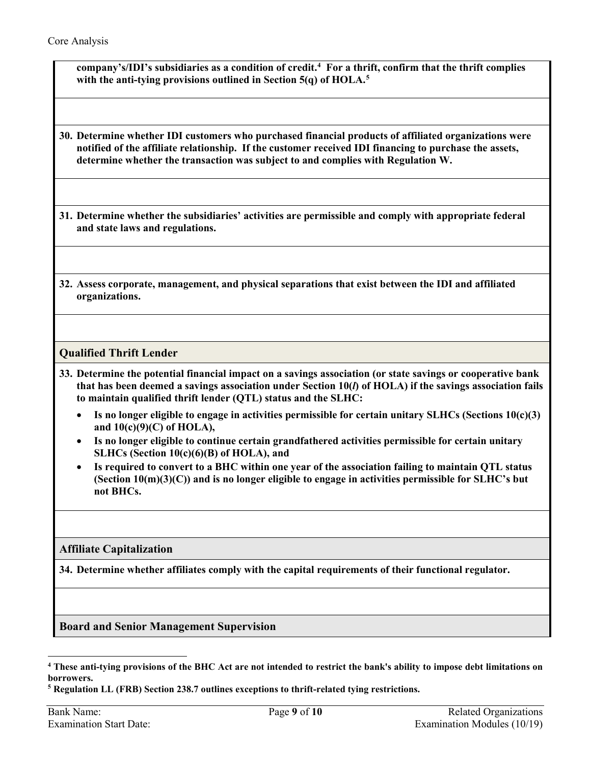**company's/IDI's subsidiaries as a condition of credit.[4](#page-8-3) For a thrift, confirm that the thrift complies with the anti-tying provisions outlined in Section 5(q) of HOLA. [5](#page-8-4)**

**30. Determine whether IDI customers who purchased financial products of affiliated organizations were notified of the affiliate relationship. If the customer received IDI financing to purchase the assets, determine whether the transaction was subject to and complies with Regulation W.** 

**31. Determine whether the subsidiaries' activities are permissible and comply with appropriate federal and state laws and regulations.**

**32. Assess corporate, management, and physical separations that exist between the IDI and affiliated organizations.** 

## **Qualified Thrift Lender**

- <span id="page-8-2"></span>**33. Determine the potential financial impact on a savings association (or state savings or cooperative bank that has been deemed a savings association under Section 10(***l***) of HOLA) if the savings association fails to maintain qualified thrift lender (QTL) status and the SLHC:** 
	- **Is no longer eligible to engage in activities permissible for certain unitary SLHCs (Sections 10(c)(3) and 10(c)(9)(C) of HOLA),**
	- **Is no longer eligible to continue certain grandfathered activities permissible for certain unitary SLHCs (Section 10(c)(6)(B) of HOLA), and**
	- **Is required to convert to a BHC within one year of the association failing to maintain QTL status (Section 10(m)(3)(C)) and is no longer eligible to engage in activities permissible for SLHC's but not BHCs.**

### <span id="page-8-0"></span>**Affiliate Capitalization**

**34. Determine whether affiliates comply with the capital requirements of their functional regulator.**

<span id="page-8-1"></span>**Board and Senior Management Supervision** 

<span id="page-8-3"></span> $\overline{a}$ **<sup>4</sup> These anti-tying provisions of the BHC Act are not intended to restrict the bank's ability to impose debt limitations on borrowers.**

<span id="page-8-4"></span>**<sup>5</sup> Regulation LL (FRB) Section 238.7 outlines exceptions to thrift-related tying restrictions.**